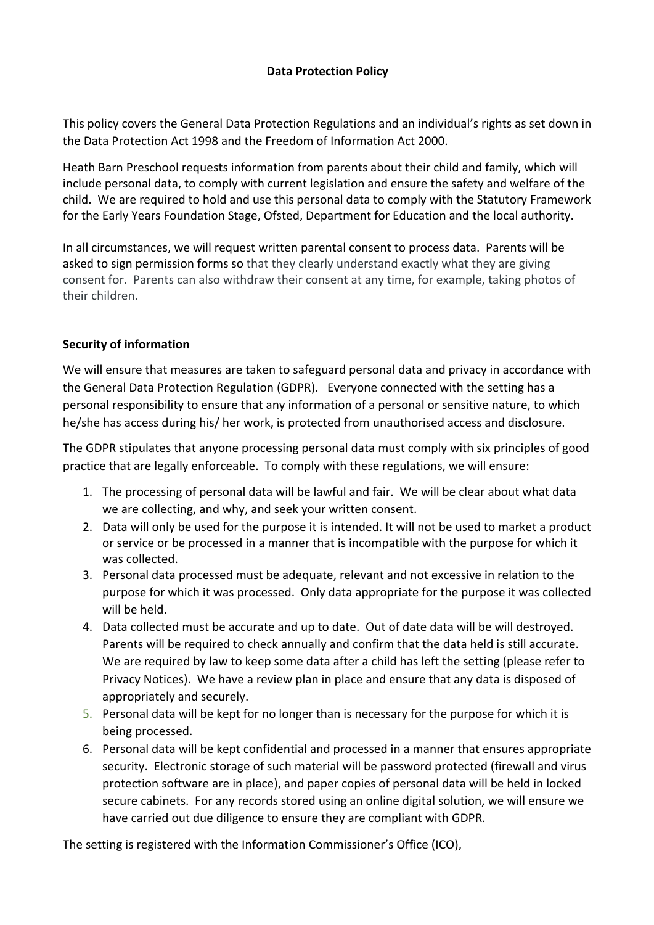## **Data Protection Policy**

This policy covers the General Data Protection Regulations and an individual's rights as set down in the Data Protection Act 1998 and the Freedom of Information Act 2000.

Heath Barn Preschool requests information from parents about their child and family, which will include personal data, to comply with current legislation and ensure the safety and welfare of the child. We are required to hold and use this personal data to comply with the Statutory Framework for the Early Years Foundation Stage, Ofsted, Department for Education and the local authority.

In all circumstances, we will request written parental consent to process data. Parents will be asked to sign permission forms so that they clearly understand exactly what they are giving consent for. Parents can also withdraw their consent at any time, for example, taking photos of their children.

# **Security of information**

We will ensure that measures are taken to safeguard personal data and privacy in accordance with the General Data Protection Regulation (GDPR). Everyone connected with the setting has a personal responsibility to ensure that any information of a personal or sensitive nature, to which he/she has access during his/ her work, is protected from unauthorised access and disclosure.

The GDPR stipulates that anyone processing personal data must comply with six principles of good practice that are legally enforceable. To comply with these regulations, we will ensure:

- 1. The processing of personal data will be lawful and fair. We will be clear about what data we are collecting, and why, and seek your written consent.
- 2. Data will only be used for the purpose it is intended. It will not be used to market a product or service or be processed in a manner that is incompatible with the purpose for which it was collected.
- 3. Personal data processed must be adequate, relevant and not excessive in relation to the purpose for which it was processed. Only data appropriate for the purpose it was collected will be held.
- 4. Data collected must be accurate and up to date. Out of date data will be will destroyed. Parents will be required to check annually and confirm that the data held is still accurate. We are required by law to keep some data after a child has left the setting (please refer to Privacy Notices). We have a review plan in place and ensure that any data is disposed of appropriately and securely.
- 5. Personal data will be kept for no longer than is necessary for the purpose for which it is being processed.
- 6. Personal data will be kept confidential and processed in a manner that ensures appropriate security. Electronic storage of such material will be password protected (firewall and virus protection software are in place), and paper copies of personal data will be held in locked secure cabinets. For any records stored using an online digital solution, we will ensure we have carried out due diligence to ensure they are compliant with GDPR.

The setting is registered with the Information Commissioner's Office (ICO),